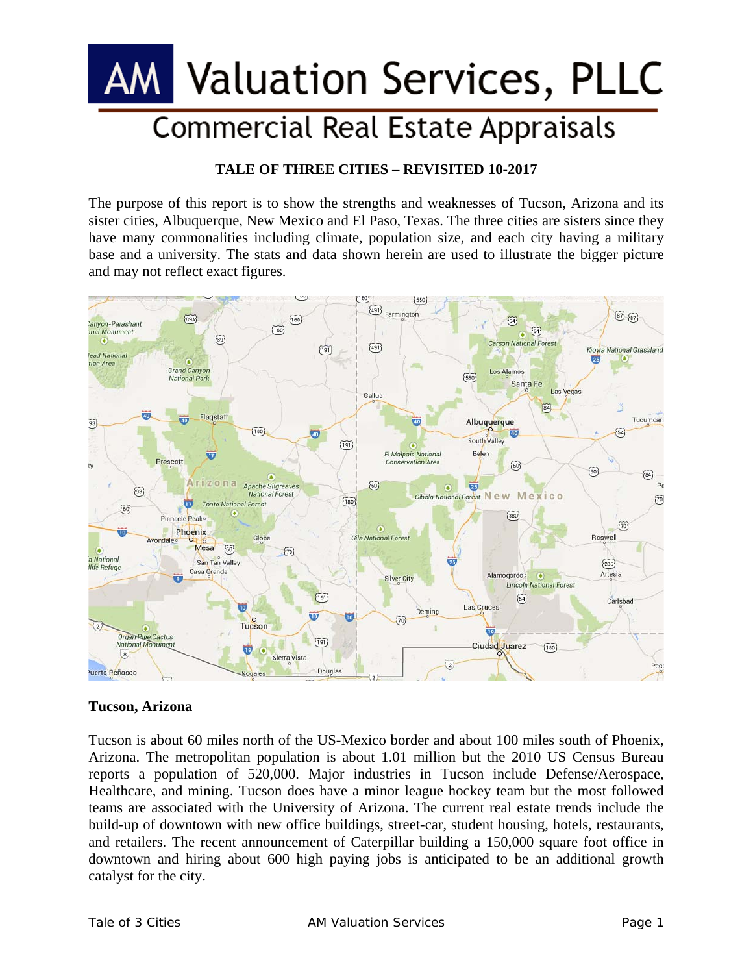# Valuation Services, PLLC **Commercial Real Estate Appraisals**

### **TALE OF THREE CITIES – REVISITED 10-2017**

The purpose of this report is to show the strengths and weaknesses of Tucson, Arizona and its sister cities, Albuquerque, New Mexico and El Paso, Texas. The three cities are sisters since they have many commonalities including climate, population size, and each city having a military base and a university. The stats and data shown herein are used to illustrate the bigger picture and may not reflect exact figures.



#### **Tucson, Arizona**

Tucson is about 60 miles north of the US-Mexico border and about 100 miles south of Phoenix, Arizona. The metropolitan population is about 1.01 million but the 2010 US Census Bureau reports a population of 520,000. Major industries in Tucson include Defense/Aerospace, Healthcare, and mining. Tucson does have a minor league hockey team but the most followed teams are associated with the University of Arizona. The current real estate trends include the build-up of downtown with new office buildings, street-car, student housing, hotels, restaurants, and retailers. The recent announcement of Caterpillar building a 150,000 square foot office in downtown and hiring about 600 high paying jobs is anticipated to be an additional growth catalyst for the city.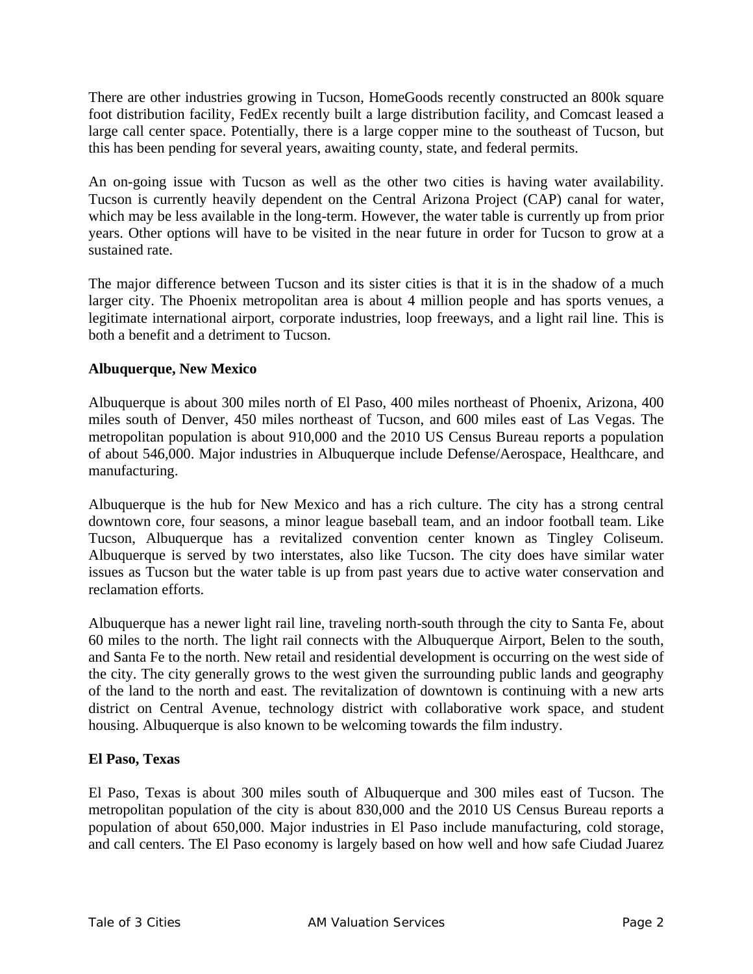There are other industries growing in Tucson, HomeGoods recently constructed an 800k square foot distribution facility, FedEx recently built a large distribution facility, and Comcast leased a large call center space. Potentially, there is a large copper mine to the southeast of Tucson, but this has been pending for several years, awaiting county, state, and federal permits.

An on-going issue with Tucson as well as the other two cities is having water availability. Tucson is currently heavily dependent on the Central Arizona Project (CAP) canal for water, which may be less available in the long-term. However, the water table is currently up from prior years. Other options will have to be visited in the near future in order for Tucson to grow at a sustained rate.

The major difference between Tucson and its sister cities is that it is in the shadow of a much larger city. The Phoenix metropolitan area is about 4 million people and has sports venues, a legitimate international airport, corporate industries, loop freeways, and a light rail line. This is both a benefit and a detriment to Tucson.

#### **Albuquerque, New Mexico**

Albuquerque is about 300 miles north of El Paso, 400 miles northeast of Phoenix, Arizona, 400 miles south of Denver, 450 miles northeast of Tucson, and 600 miles east of Las Vegas. The metropolitan population is about 910,000 and the 2010 US Census Bureau reports a population of about 546,000. Major industries in Albuquerque include Defense/Aerospace, Healthcare, and manufacturing.

Albuquerque is the hub for New Mexico and has a rich culture. The city has a strong central downtown core, four seasons, a minor league baseball team, and an indoor football team. Like Tucson, Albuquerque has a revitalized convention center known as Tingley Coliseum. Albuquerque is served by two interstates, also like Tucson. The city does have similar water issues as Tucson but the water table is up from past years due to active water conservation and reclamation efforts.

Albuquerque has a newer light rail line, traveling north-south through the city to Santa Fe, about 60 miles to the north. The light rail connects with the Albuquerque Airport, Belen to the south, and Santa Fe to the north. New retail and residential development is occurring on the west side of the city. The city generally grows to the west given the surrounding public lands and geography of the land to the north and east. The revitalization of downtown is continuing with a new arts district on Central Avenue, technology district with collaborative work space, and student housing. Albuquerque is also known to be welcoming towards the film industry.

#### **El Paso, Texas**

El Paso, Texas is about 300 miles south of Albuquerque and 300 miles east of Tucson. The metropolitan population of the city is about 830,000 and the 2010 US Census Bureau reports a population of about 650,000. Major industries in El Paso include manufacturing, cold storage, and call centers. The El Paso economy is largely based on how well and how safe Ciudad Juarez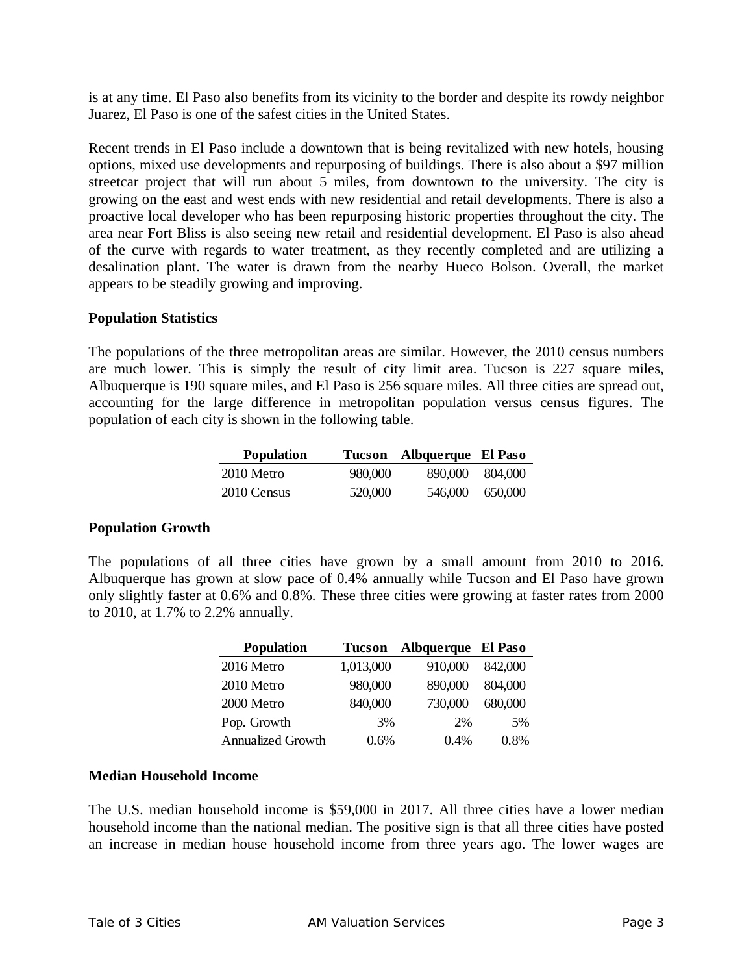is at any time. El Paso also benefits from its vicinity to the border and despite its rowdy neighbor Juarez, El Paso is one of the safest cities in the United States.

Recent trends in El Paso include a downtown that is being revitalized with new hotels, housing options, mixed use developments and repurposing of buildings. There is also about a \$97 million streetcar project that will run about 5 miles, from downtown to the university. The city is growing on the east and west ends with new residential and retail developments. There is also a proactive local developer who has been repurposing historic properties throughout the city. The area near Fort Bliss is also seeing new retail and residential development. El Paso is also ahead of the curve with regards to water treatment, as they recently completed and are utilizing a desalination plant. The water is drawn from the nearby Hueco Bolson. Overall, the market appears to be steadily growing and improving.

#### **Population Statistics**

The populations of the three metropolitan areas are similar. However, the 2010 census numbers are much lower. This is simply the result of city limit area. Tucson is 227 square miles, Albuquerque is 190 square miles, and El Paso is 256 square miles. All three cities are spread out, accounting for the large difference in metropolitan population versus census figures. The population of each city is shown in the following table.

| <b>Population</b> |         | Tucson Albquerque El Paso |         |
|-------------------|---------|---------------------------|---------|
| 2010 Metro        | 980,000 | 890,000                   | 804.000 |
| 2010 Census       | 520,000 | 546,000                   | 650,000 |

#### **Population Growth**

The populations of all three cities have grown by a small amount from 2010 to 2016. Albuquerque has grown at slow pace of 0.4% annually while Tucson and El Paso have grown only slightly faster at 0.6% and 0.8%. These three cities were growing at faster rates from 2000 to 2010, at 1.7% to 2.2% annually.

| <b>Population</b> | <b>Tucson</b> | Albquerque El Paso |         |
|-------------------|---------------|--------------------|---------|
| 2016 Metro        | 1,013,000     | 910,000            | 842,000 |
| 2010 Metro        | 980,000       | 890,000            | 804,000 |
| 2000 Metro        | 840,000       | 730,000            | 680,000 |
| Pop. Growth       | 3%            | 2%                 | 5%      |
| Annualized Growth | 0.6%          | 0.4%               | 0.8%    |

#### **Median Household Income**

The U.S. median household income is \$59,000 in 2017. All three cities have a lower median household income than the national median. The positive sign is that all three cities have posted an increase in median house household income from three years ago. The lower wages are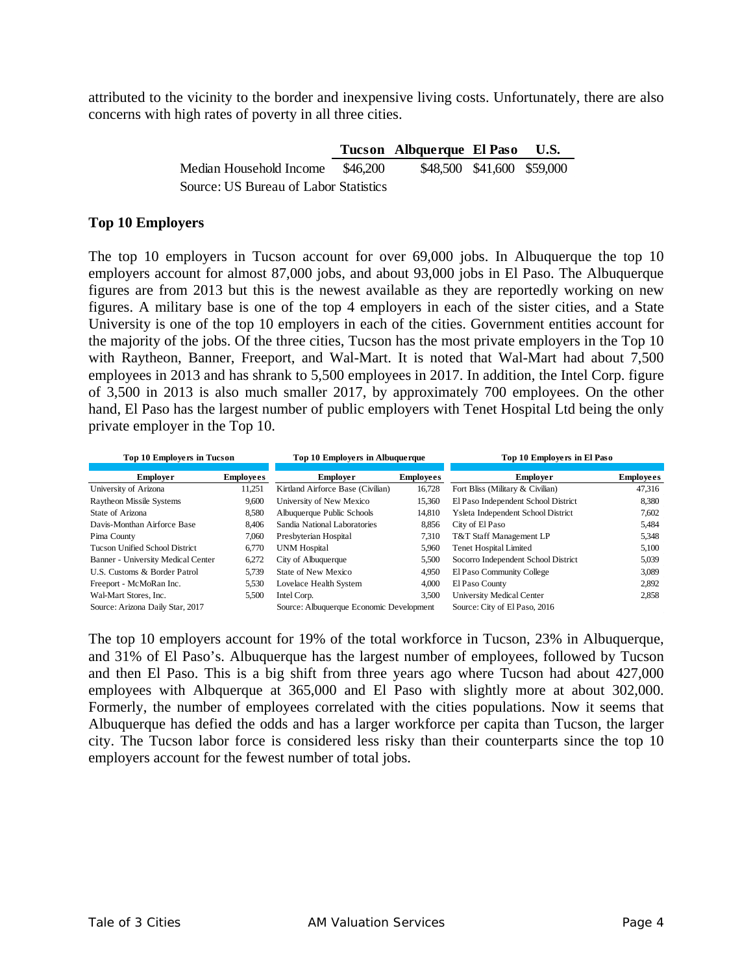attributed to the vicinity to the border and inexpensive living costs. Unfortunately, there are also concerns with high rates of poverty in all three cities.

|                                       |          | Tucson Albquerque El Paso  |  | U.S. |
|---------------------------------------|----------|----------------------------|--|------|
| Median Household Income               | \$46.200 | \$48,500 \$41,600 \$59,000 |  |      |
| Source: US Bureau of Labor Statistics |          |                            |  |      |

#### **Top 10 Employers**

The top 10 employers in Tucson account for over 69,000 jobs. In Albuquerque the top 10 employers account for almost 87,000 jobs, and about 93,000 jobs in El Paso. The Albuquerque figures are from 2013 but this is the newest available as they are reportedly working on new figures. A military base is one of the top 4 employers in each of the sister cities, and a State University is one of the top 10 employers in each of the cities. Government entities account for the majority of the jobs. Of the three cities, Tucson has the most private employers in the Top 10 with Raytheon, Banner, Freeport, and Wal-Mart. It is noted that Wal-Mart had about 7,500 employees in 2013 and has shrank to 5,500 employees in 2017. In addition, the Intel Corp. figure of 3,500 in 2013 is also much smaller 2017, by approximately 700 employees. On the other hand, El Paso has the largest number of public employers with Tenet Hospital Ltd being the only private employer in the Top 10.

| <b>Top 10 Employers in Tucson</b>     |                  | Top 10 Employers in Albuquerque          |                  | Top 10 Employers in El Paso         |                  |
|---------------------------------------|------------------|------------------------------------------|------------------|-------------------------------------|------------------|
|                                       |                  |                                          |                  |                                     |                  |
| <b>Employer</b>                       | <b>Employees</b> | <b>Employer</b>                          | <b>Employees</b> | <b>Employer</b>                     | <b>Employees</b> |
| University of Arizona                 | 11,251           | Kirtland Airforce Base (Civilian)        | 16,728           | Fort Bliss (Military & Civilian)    | 47,316           |
| <b>Raytheon Missile Systems</b>       | 9,600            | University of New Mexico                 | 15,360           | El Paso Independent School District | 8,380            |
| State of Arizona                      | 8,580            | Albuquerque Public Schools               | 14,810           | Ysleta Independent School District  | 7,602            |
| Davis-Monthan Airforce Base           | 8.406            | Sandia National Laboratories             | 8,856            | City of El Paso                     | 5,484            |
| Pima County                           | 7,060            | Presbyterian Hospital                    | 7.310            | T&T Staff Management LP             | 5,348            |
| <b>Tucson Unified School District</b> | 6.770            | UNM Hospital                             | 5,960            | <b>Tenet Hospital Limited</b>       | 5,100            |
| Banner - University Medical Center    | 6,272            | City of Albuquerque                      | 5,500            | Socorro Independent School District | 5,039            |
| U.S. Customs & Border Patrol          | 5.739            | State of New Mexico                      | 4,950            | El Paso Community College           | 3,089            |
| Freeport - McMoRan Inc.               | 5,530            | Lovelace Health System                   | 4,000            | El Paso County                      | 2,892            |
| Wal-Mart Stores, Inc.                 | 5,500            | Intel Corp.                              | 3,500            | University Medical Center           | 2,858            |
| Source: Arizona Daily Star, 2017      |                  | Source: Albuquerque Economic Development |                  | Source: City of El Paso, 2016       |                  |

The top 10 employers account for 19% of the total workforce in Tucson, 23% in Albuquerque, and 31% of El Paso's. Albuquerque has the largest number of employees, followed by Tucson and then El Paso. This is a big shift from three years ago where Tucson had about 427,000 employees with Albquerque at 365,000 and El Paso with slightly more at about 302,000. Formerly, the number of employees correlated with the cities populations. Now it seems that Albuquerque has defied the odds and has a larger workforce per capita than Tucson, the larger city. The Tucson labor force is considered less risky than their counterparts since the top 10 employers account for the fewest number of total jobs.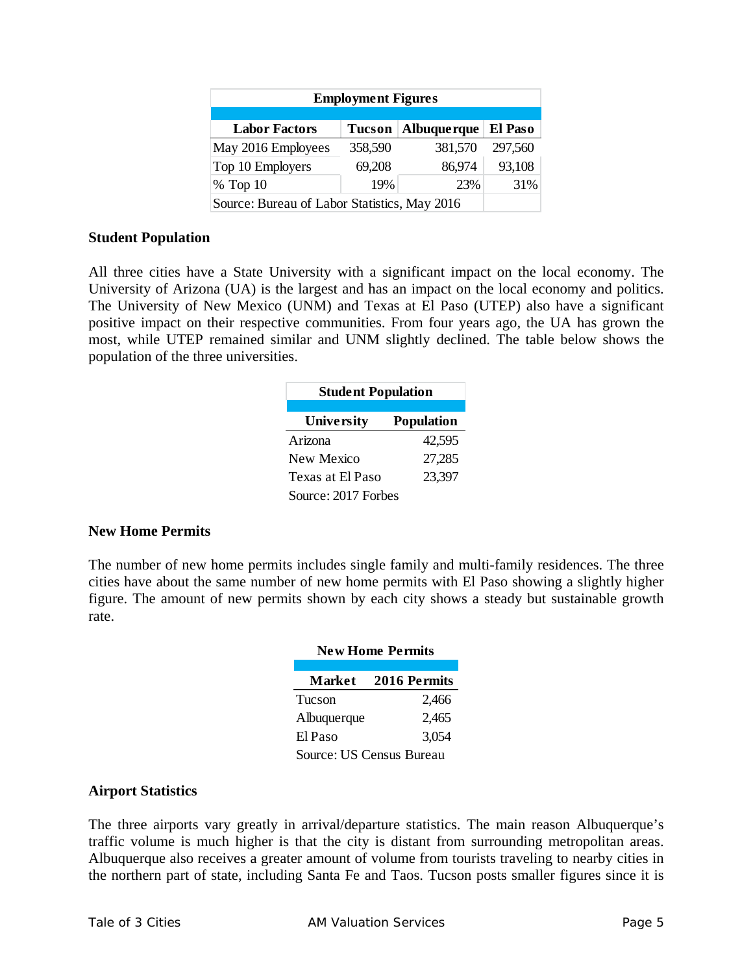| <b>Employment Figures</b>                                        |         |         |         |  |  |  |
|------------------------------------------------------------------|---------|---------|---------|--|--|--|
| Albuque rque<br>El Paso<br><b>Labor Factors</b><br><b>Tucson</b> |         |         |         |  |  |  |
| May 2016 Employees                                               | 358,590 | 381,570 | 297,560 |  |  |  |
| Top 10 Employers                                                 | 69,208  | 86,974  | 93,108  |  |  |  |
| 19%<br>31%<br>% Top 10<br>23%                                    |         |         |         |  |  |  |
| Source: Bureau of Labor Statistics, May 2016                     |         |         |         |  |  |  |

#### **Student Population**

All three cities have a State University with a significant impact on the local economy. The University of Arizona (UA) is the largest and has an impact on the local economy and politics. The University of New Mexico (UNM) and Texas at El Paso (UTEP) also have a significant positive impact on their respective communities. From four years ago, the UA has grown the most, while UTEP remained similar and UNM slightly declined. The table below shows the population of the three universities.

| <b>Student Population</b> |                   |  |  |
|---------------------------|-------------------|--|--|
| University                | <b>Population</b> |  |  |
| Arizona                   | 42,595            |  |  |
| New Mexico                | 27,285            |  |  |
| Texas at El Paso          | 23,397            |  |  |
| Source: 2017 Forbes       |                   |  |  |

#### **New Home Permits**

The number of new home permits includes single family and multi-family residences. The three cities have about the same number of new home permits with El Paso showing a slightly higher figure. The amount of new permits shown by each city shows a steady but sustainable growth rate.

| <b>New Home Permits</b>         |              |  |  |
|---------------------------------|--------------|--|--|
| <b>Market</b>                   | 2016 Permits |  |  |
| Tucson                          | 2,466        |  |  |
| Albuquerque                     | 2,465        |  |  |
| El Paso                         | 3,054        |  |  |
| <b>Source: US Census Bureau</b> |              |  |  |

#### **Airport Statistics**

The three airports vary greatly in arrival/departure statistics. The main reason Albuquerque's traffic volume is much higher is that the city is distant from surrounding metropolitan areas. Albuquerque also receives a greater amount of volume from tourists traveling to nearby cities in the northern part of state, including Santa Fe and Taos. Tucson posts smaller figures since it is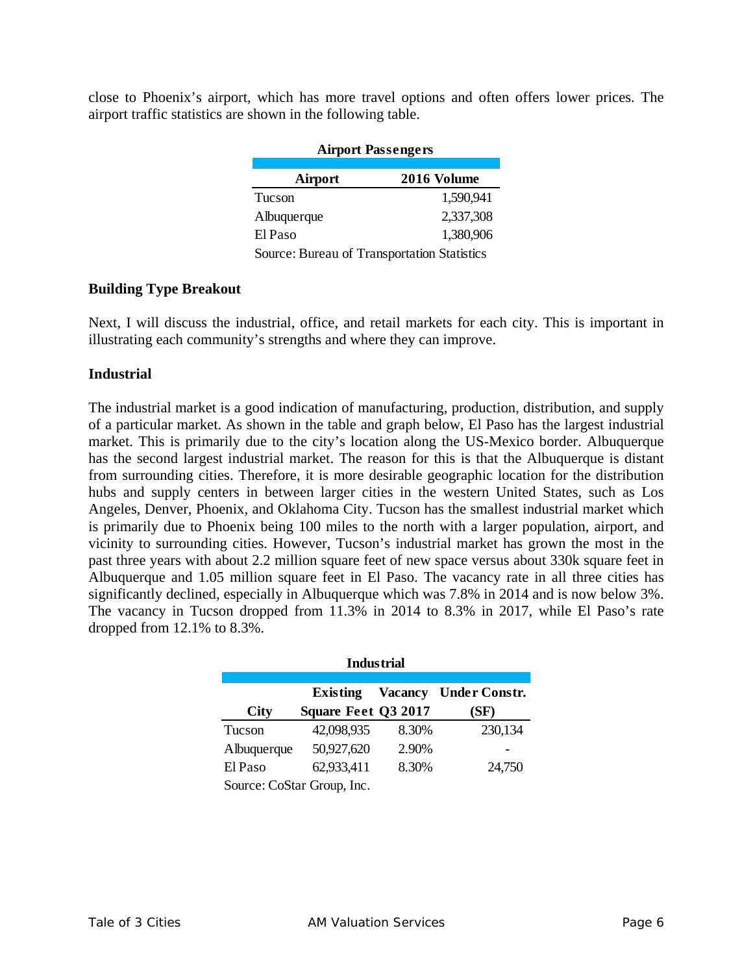close to Phoenix's airport, which has more travel options and often offers lower prices. The airport traffic statistics are shown in the following table.

| <b>Airport Passengers</b>                   |             |  |  |
|---------------------------------------------|-------------|--|--|
|                                             |             |  |  |
| Airport                                     | 2016 Volume |  |  |
| Tucson                                      | 1,590,941   |  |  |
| Albuquerque                                 | 2,337,308   |  |  |
| El Paso                                     | 1,380,906   |  |  |
| Source: Bureau of Transportation Statistics |             |  |  |

#### **Building Type Breakout**

Next, I will discuss the industrial, office, and retail markets for each city. This is important in illustrating each community's strengths and where they can improve.

#### **Industrial**

The industrial market is a good indication of manufacturing, production, distribution, and supply of a particular market. As shown in the table and graph below, El Paso has the largest industrial market. This is primarily due to the city's location along the US-Mexico border. Albuquerque has the second largest industrial market. The reason for this is that the Albuquerque is distant from surrounding cities. Therefore, it is more desirable geographic location for the distribution hubs and supply centers in between larger cities in the western United States, such as Los Angeles, Denver, Phoenix, and Oklahoma City. Tucson has the smallest industrial market which is primarily due to Phoenix being 100 miles to the north with a larger population, airport, and vicinity to surrounding cities. However, Tucson's industrial market has grown the most in the past three years with about 2.2 million square feet of new space versus about 330k square feet in Albuquerque and 1.05 million square feet in El Paso. The vacancy rate in all three cities has significantly declined, especially in Albuquerque which was 7.8% in 2014 and is now below 3%. The vacancy in Tucson dropped from 11.3% in 2014 to 8.3% in 2017, while El Paso's rate dropped from 12.1% to 8.3%.

| <b>Industrial</b>                                         |                            |       |         |  |  |  |
|-----------------------------------------------------------|----------------------------|-------|---------|--|--|--|
| <b>Under Constr.</b><br><b>Vacancy</b><br><b>Existing</b> |                            |       |         |  |  |  |
| <b>City</b>                                               | Square Feet Q3 2017        |       | (SF)    |  |  |  |
| Tucson                                                    | 42,098,935                 | 8.30% | 230,134 |  |  |  |
| Albuquerque                                               | 50,927,620                 | 2.90% |         |  |  |  |
| El Paso                                                   | 62,933,411                 | 8.30% | 24,750  |  |  |  |
|                                                           | Source: CoStar Group, Inc. |       |         |  |  |  |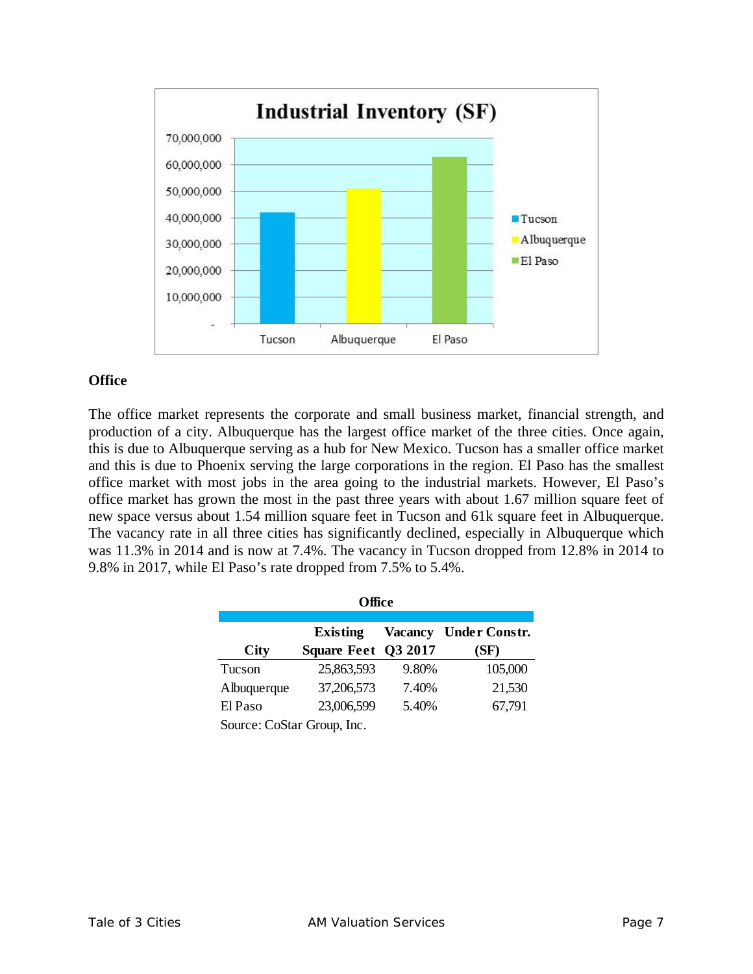

#### **Office**

The office market represents the corporate and small business market, financial strength, and production of a city. Albuquerque has the largest office market of the three cities. Once again, this is due to Albuquerque serving as a hub for New Mexico. Tucson has a smaller office market and this is due to Phoenix serving the large corporations in the region. El Paso has the smallest office market with most jobs in the area going to the industrial markets. However, El Paso's office market has grown the most in the past three years with about 1.67 million square feet of new space versus about 1.54 million square feet in Tucson and 61k square feet in Albuquerque. The vacancy rate in all three cities has significantly declined, especially in Albuquerque which was 11.3% in 2014 and is now at 7.4%. The vacancy in Tucson dropped from 12.8% in 2014 to 9.8% in 2017, while El Paso's rate dropped from 7.5% to 5.4%.

| Office                                                                                                  |            |       |         |  |  |  |
|---------------------------------------------------------------------------------------------------------|------------|-------|---------|--|--|--|
| <b>Under Constr.</b><br><b>Vacancy</b><br><b>Existing</b><br>Square Feet Q3 2017<br><b>City</b><br>(SF) |            |       |         |  |  |  |
| Tucson                                                                                                  | 25,863,593 | 9.80% | 105,000 |  |  |  |
| Albuquerque                                                                                             | 37,206,573 | 7.40% | 21,530  |  |  |  |
| El Paso                                                                                                 | 23,006,599 | 5.40% | 67,791  |  |  |  |
| Source: CoStar Group, Inc.                                                                              |            |       |         |  |  |  |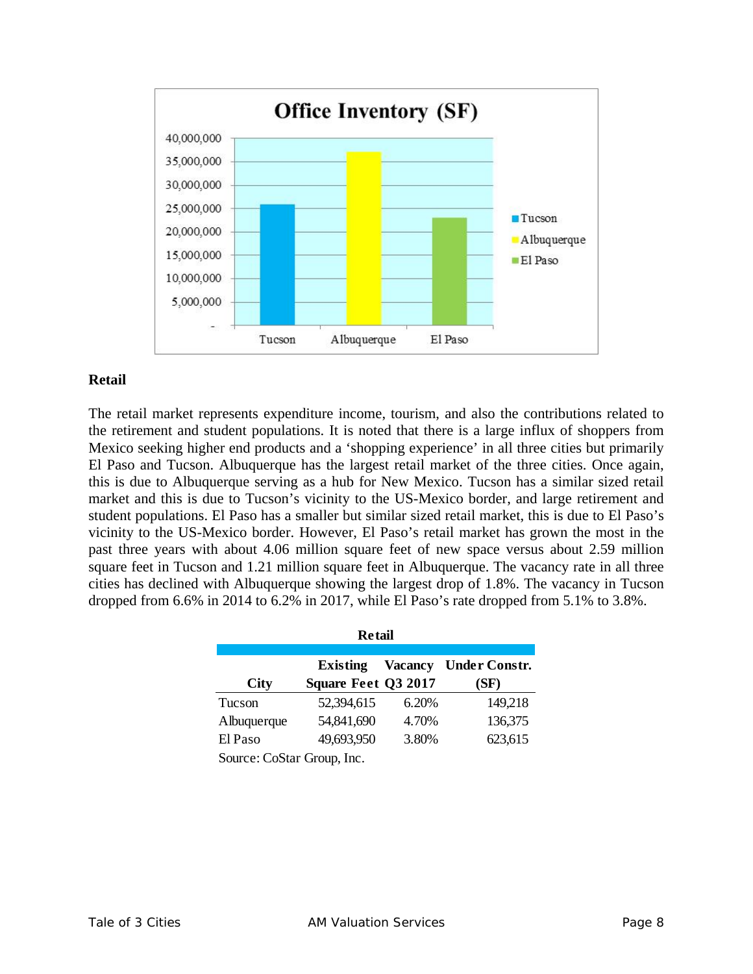

#### **Retail**

The retail market represents expenditure income, tourism, and also the contributions related to the retirement and student populations. It is noted that there is a large influx of shoppers from Mexico seeking higher end products and a 'shopping experience' in all three cities but primarily El Paso and Tucson. Albuquerque has the largest retail market of the three cities. Once again, this is due to Albuquerque serving as a hub for New Mexico. Tucson has a similar sized retail market and this is due to Tucson's vicinity to the US-Mexico border, and large retirement and student populations. El Paso has a smaller but similar sized retail market, this is due to El Paso's vicinity to the US-Mexico border. However, El Paso's retail market has grown the most in the past three years with about 4.06 million square feet of new space versus about 2.59 million square feet in Tucson and 1.21 million square feet in Albuquerque. The vacancy rate in all three cities has declined with Albuquerque showing the largest drop of 1.8%. The vacancy in Tucson dropped from 6.6% in 2014 to 6.2% in 2017, while El Paso's rate dropped from 5.1% to 3.8%.

| <b>Retail</b>                                             |                            |       |         |  |  |  |
|-----------------------------------------------------------|----------------------------|-------|---------|--|--|--|
| <b>Vacancy</b><br><b>Under Constr.</b><br><b>Existing</b> |                            |       |         |  |  |  |
| <b>City</b>                                               | Square Feet Q3 2017        |       | (SF)    |  |  |  |
| Tucson                                                    | 52,394,615                 | 6.20% | 149,218 |  |  |  |
| Albuquerque                                               | 54,841,690                 | 4.70% | 136,375 |  |  |  |
| El Paso                                                   | 49,693,950                 | 3.80% | 623,615 |  |  |  |
|                                                           | Source: CoStar Group, Inc. |       |         |  |  |  |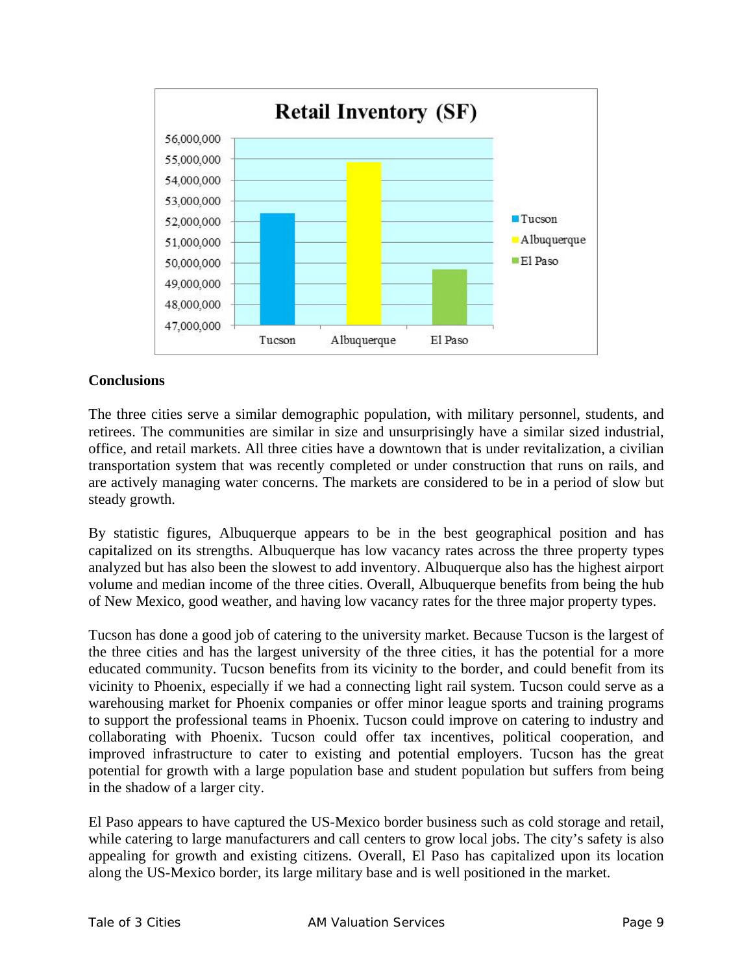

#### **Conclusions**

The three cities serve a similar demographic population, with military personnel, students, and retirees. The communities are similar in size and unsurprisingly have a similar sized industrial, office, and retail markets. All three cities have a downtown that is under revitalization, a civilian transportation system that was recently completed or under construction that runs on rails, and are actively managing water concerns. The markets are considered to be in a period of slow but steady growth.

By statistic figures, Albuquerque appears to be in the best geographical position and has capitalized on its strengths. Albuquerque has low vacancy rates across the three property types analyzed but has also been the slowest to add inventory. Albuquerque also has the highest airport volume and median income of the three cities. Overall, Albuquerque benefits from being the hub of New Mexico, good weather, and having low vacancy rates for the three major property types.

Tucson has done a good job of catering to the university market. Because Tucson is the largest of the three cities and has the largest university of the three cities, it has the potential for a more educated community. Tucson benefits from its vicinity to the border, and could benefit from its vicinity to Phoenix, especially if we had a connecting light rail system. Tucson could serve as a warehousing market for Phoenix companies or offer minor league sports and training programs to support the professional teams in Phoenix. Tucson could improve on catering to industry and collaborating with Phoenix. Tucson could offer tax incentives, political cooperation, and improved infrastructure to cater to existing and potential employers. Tucson has the great potential for growth with a large population base and student population but suffers from being in the shadow of a larger city.

El Paso appears to have captured the US-Mexico border business such as cold storage and retail, while catering to large manufacturers and call centers to grow local jobs. The city's safety is also appealing for growth and existing citizens. Overall, El Paso has capitalized upon its location along the US-Mexico border, its large military base and is well positioned in the market.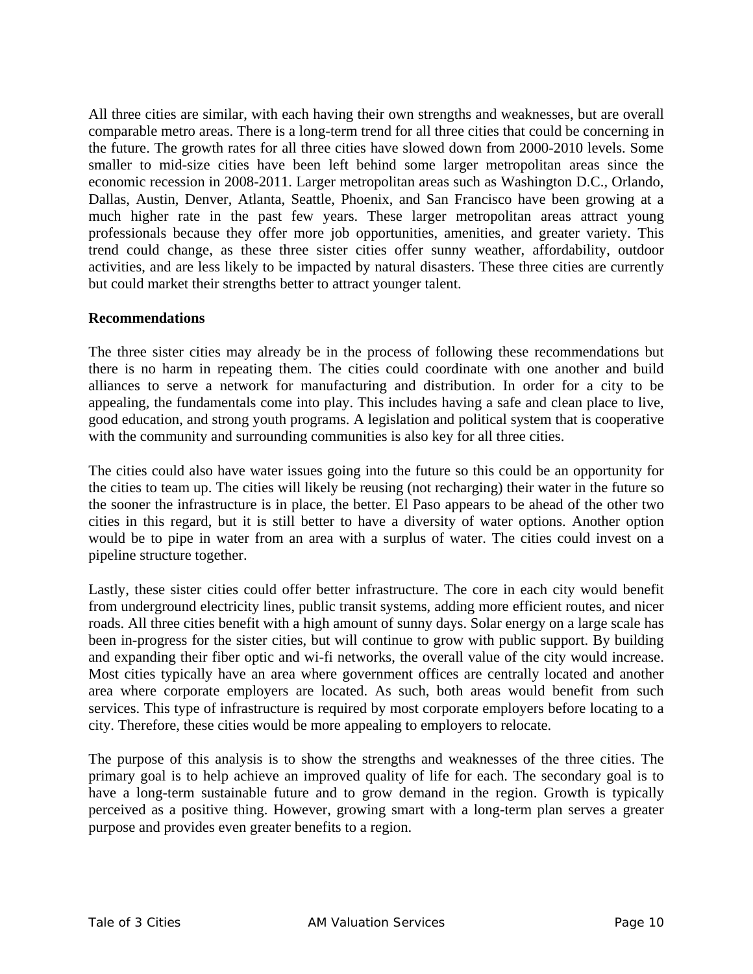All three cities are similar, with each having their own strengths and weaknesses, but are overall comparable metro areas. There is a long-term trend for all three cities that could be concerning in the future. The growth rates for all three cities have slowed down from 2000-2010 levels. Some smaller to mid-size cities have been left behind some larger metropolitan areas since the economic recession in 2008-2011. Larger metropolitan areas such as Washington D.C., Orlando, Dallas, Austin, Denver, Atlanta, Seattle, Phoenix, and San Francisco have been growing at a much higher rate in the past few years. These larger metropolitan areas attract young professionals because they offer more job opportunities, amenities, and greater variety. This trend could change, as these three sister cities offer sunny weather, affordability, outdoor activities, and are less likely to be impacted by natural disasters. These three cities are currently but could market their strengths better to attract younger talent.

#### **Recommendations**

The three sister cities may already be in the process of following these recommendations but there is no harm in repeating them. The cities could coordinate with one another and build alliances to serve a network for manufacturing and distribution. In order for a city to be appealing, the fundamentals come into play. This includes having a safe and clean place to live, good education, and strong youth programs. A legislation and political system that is cooperative with the community and surrounding communities is also key for all three cities.

The cities could also have water issues going into the future so this could be an opportunity for the cities to team up. The cities will likely be reusing (not recharging) their water in the future so the sooner the infrastructure is in place, the better. El Paso appears to be ahead of the other two cities in this regard, but it is still better to have a diversity of water options. Another option would be to pipe in water from an area with a surplus of water. The cities could invest on a pipeline structure together.

Lastly, these sister cities could offer better infrastructure. The core in each city would benefit from underground electricity lines, public transit systems, adding more efficient routes, and nicer roads. All three cities benefit with a high amount of sunny days. Solar energy on a large scale has been in-progress for the sister cities, but will continue to grow with public support. By building and expanding their fiber optic and wi-fi networks, the overall value of the city would increase. Most cities typically have an area where government offices are centrally located and another area where corporate employers are located. As such, both areas would benefit from such services. This type of infrastructure is required by most corporate employers before locating to a city. Therefore, these cities would be more appealing to employers to relocate.

The purpose of this analysis is to show the strengths and weaknesses of the three cities. The primary goal is to help achieve an improved quality of life for each. The secondary goal is to have a long-term sustainable future and to grow demand in the region. Growth is typically perceived as a positive thing. However, growing smart with a long-term plan serves a greater purpose and provides even greater benefits to a region.